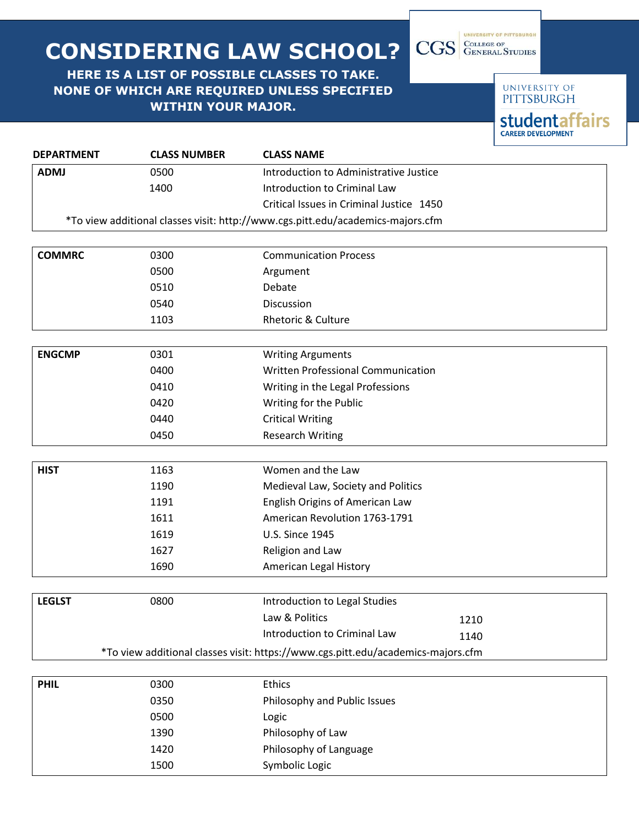## **CONSIDERING LAW SCHOOL?**

## **HERE IS A LIST OF POSSIBLE CLASSES TO TAKE. NONE OF WHICH ARE REQUIRED UNLESS SPECIFIED WITHIN YOUR MAJOR.**

UNIVERSITY OF **PITTSBURGH studentaffairs CAREER DEVELOPMENT** 

UNIVERSITY OF PITTSBURGH

CGS GENERAL STUDIES

| <b>DEPARTMENT</b> | <b>CLASS NUMBER</b> | <b>CLASS NAME</b>                                                                        |
|-------------------|---------------------|------------------------------------------------------------------------------------------|
| <b>ADMJ</b>       | 0500                | Introduction to Administrative Justice                                                   |
|                   | 1400                | Introduction to Criminal Law                                                             |
|                   |                     | Critical Issues in Criminal Justice 1450                                                 |
|                   |                     | *To view additional classes visit: http://www.cgs.pitt.edu/academics-majors.cfm          |
|                   |                     |                                                                                          |
| <b>COMMRC</b>     | 0300                | <b>Communication Process</b>                                                             |
|                   | 0500                | Argument                                                                                 |
|                   | 0510                | Debate                                                                                   |
|                   | 0540                | <b>Discussion</b>                                                                        |
|                   | 1103                | <b>Rhetoric &amp; Culture</b>                                                            |
|                   |                     |                                                                                          |
| <b>ENGCMP</b>     | 0301                | <b>Writing Arguments</b>                                                                 |
|                   | 0400                | Written Professional Communication                                                       |
|                   | 0410                | Writing in the Legal Professions                                                         |
|                   | 0420                | Writing for the Public                                                                   |
|                   | 0440                | <b>Critical Writing</b>                                                                  |
|                   | 0450                | <b>Research Writing</b>                                                                  |
| <b>HIST</b>       | 1163                | Women and the Law                                                                        |
|                   | 1190                | Medieval Law, Society and Politics                                                       |
|                   | 1191                | English Origins of American Law                                                          |
|                   | 1611                | American Revolution 1763-1791                                                            |
|                   | 1619                | <b>U.S. Since 1945</b>                                                                   |
|                   | 1627                | Religion and Law                                                                         |
|                   | 1690                | American Legal History                                                                   |
| <b>LEGLST</b>     | 0800                | Introduction to Legal Studies                                                            |
|                   |                     | Law & Politics                                                                           |
|                   |                     | 1210<br>Introduction to Criminal Law                                                     |
|                   |                     | 1140<br>*To view additional classes visit: https://www.cgs.pitt.edu/academics-majors.cfm |
|                   |                     |                                                                                          |
| <b>PHIL</b>       | 0300                | Ethics                                                                                   |
|                   | 0350                | Philosophy and Public Issues                                                             |
|                   | 0500                | Logic                                                                                    |
|                   | 1390                | Philosophy of Law                                                                        |
|                   | 1420                | Philosophy of Language                                                                   |

1500 Symbolic Logic